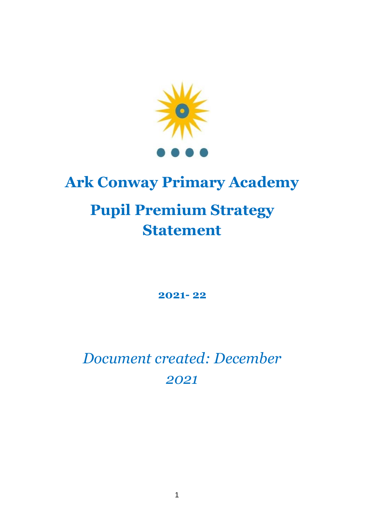

# **Ark Conway Primary Academy Pupil Premium Strategy Statement**

**2021- 22**

*Document created: December 2021*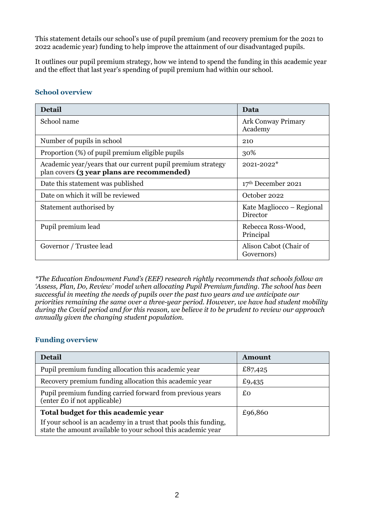This statement details our school's use of pupil premium (and recovery premium for the 2021 to 2022 academic year) funding to help improve the attainment of our disadvantaged pupils.

It outlines our pupil premium strategy, how we intend to spend the funding in this academic year and the effect that last year's spending of pupil premium had within our school.

#### **School overview**

| <b>Detail</b>                                                                                             | Data                                  |
|-----------------------------------------------------------------------------------------------------------|---------------------------------------|
| School name                                                                                               | <b>Ark Conway Primary</b><br>Academy  |
| Number of pupils in school                                                                                | 210                                   |
| Proportion (%) of pupil premium eligible pupils                                                           | 30%                                   |
| Academic year/years that our current pupil premium strategy<br>plan covers (3 year plans are recommended) | 2021-2022*                            |
| Date this statement was published                                                                         | 17th December 2021                    |
| Date on which it will be reviewed                                                                         | October 2022                          |
| Statement authorised by                                                                                   | Kate Magliocco – Regional<br>Director |
| Pupil premium lead                                                                                        | Rebecca Ross-Wood,<br>Principal       |
| Governor / Trustee lead                                                                                   | Alison Cabot (Chair of<br>Governors)  |

*\*The Education Endowment Fund's (EEF) research rightly recommends that schools follow an 'Assess, Plan, Do, Review' model when allocating Pupil Premium funding. The school has been successful in meeting the needs of pupils over the past two years and we anticipate our priorities remaining the same over a three-year period. However, we have had student mobility during the Covid period and for this reason, we believe it to be prudent to review our approach annually given the changing student population.*

### **Funding overview**

| Detail                                                                                                                           | Amount  |
|----------------------------------------------------------------------------------------------------------------------------------|---------|
| Pupil premium funding allocation this academic year                                                                              | £87,425 |
| Recovery premium funding allocation this academic year                                                                           | £9,435  |
| Pupil premium funding carried forward from previous years<br>(enter £0 if not applicable)                                        | £o      |
| Total budget for this academic year                                                                                              | £96,860 |
| If your school is an academy in a trust that pools this funding,<br>state the amount available to your school this academic year |         |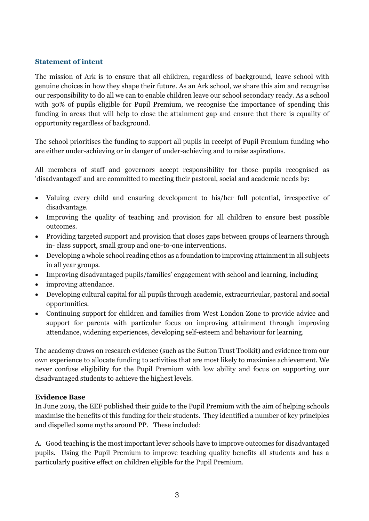#### **Statement of intent**

The mission of Ark is to ensure that all children, regardless of background, leave school with genuine choices in how they shape their future. As an Ark school, we share this aim and recognise our responsibility to do all we can to enable children leave our school secondary ready. As a school with 30% of pupils eligible for Pupil Premium, we recognise the importance of spending this funding in areas that will help to close the attainment gap and ensure that there is equality of opportunity regardless of background.

The school prioritises the funding to support all pupils in receipt of Pupil Premium funding who are either under-achieving or in danger of under-achieving and to raise aspirations.

All members of staff and governors accept responsibility for those pupils recognised as 'disadvantaged' and are committed to meeting their pastoral, social and academic needs by:

- Valuing every child and ensuring development to his/her full potential, irrespective of disadvantage.
- Improving the quality of teaching and provision for all children to ensure best possible outcomes.
- Providing targeted support and provision that closes gaps between groups of learners through in- class support, small group and one-to-one interventions.
- Developing a whole school reading ethos as a foundation to improving attainment in all subjects in all year groups.
- Improving disadvantaged pupils/families' engagement with school and learning, including
- improving attendance.
- Developing cultural capital for all pupils through academic, extracurricular, pastoral and social opportunities.
- Continuing support for children and families from West London Zone to provide advice and support for parents with particular focus on improving attainment through improving attendance, widening experiences, developing self-esteem and behaviour for learning.

The academy draws on research evidence (such as the Sutton Trust Toolkit) and evidence from our own experience to allocate funding to activities that are most likely to maximise achievement. We never confuse eligibility for the Pupil Premium with low ability and focus on supporting our disadvantaged students to achieve the highest levels.

#### **Evidence Base**

In June 2019, the EEF published their guide to the Pupil Premium with the aim of helping schools maximise the benefits of this funding for their students. They identified a number of key principles and dispelled some myths around PP. These included:

A. Good teaching is the most important lever schools have to improve outcomes for disadvantaged pupils. Using the Pupil Premium to improve teaching quality benefits all students and has a particularly positive effect on children eligible for the Pupil Premium.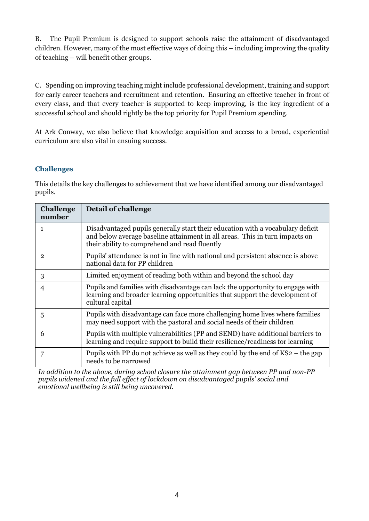B. The Pupil Premium is designed to support schools raise the attainment of disadvantaged children. However, many of the most effective ways of doing this – including improving the quality of teaching – will benefit other groups.

C. Spending on improving teaching might include professional development, training and support for early career teachers and recruitment and retention. Ensuring an effective teacher in front of every class, and that every teacher is supported to keep improving, is the key ingredient of a successful school and should rightly be the top priority for Pupil Premium spending.

At Ark Conway, we also believe that knowledge acquisition and access to a broad, experiential curriculum are also vital in ensuing success.

#### **Challenges**

This details the key challenges to achievement that we have identified among our disadvantaged pupils.

| <b>Challenge</b><br>number | Detail of challenge                                                                                                                                                                                            |
|----------------------------|----------------------------------------------------------------------------------------------------------------------------------------------------------------------------------------------------------------|
| 1                          | Disadvantaged pupils generally start their education with a vocabulary deficit<br>and below average baseline attainment in all areas. This in turn impacts on<br>their ability to comprehend and read fluently |
| $\overline{2}$             | Pupils' attendance is not in line with national and persistent absence is above<br>national data for PP children                                                                                               |
| 3                          | Limited enjoyment of reading both within and beyond the school day                                                                                                                                             |
| 4                          | Pupils and families with disadvantage can lack the opportunity to engage with<br>learning and broader learning opportunities that support the development of<br>cultural capital                               |
| 5                          | Pupils with disadvantage can face more challenging home lives where families<br>may need support with the pastoral and social needs of their children                                                          |
| 6                          | Pupils with multiple vulnerabilities (PP and SEND) have additional barriers to<br>learning and require support to build their resilience/readiness for learning                                                |
| 7                          | Pupils with PP do not achieve as well as they could by the end of $KS2$ – the gap<br>needs to be narrowed                                                                                                      |

*In addition to the above, during school closure the attainment gap between PP and non-PP pupils widened and the full effect of lockdown on disadvantaged pupils' social and emotional wellbeing is still being uncovered.*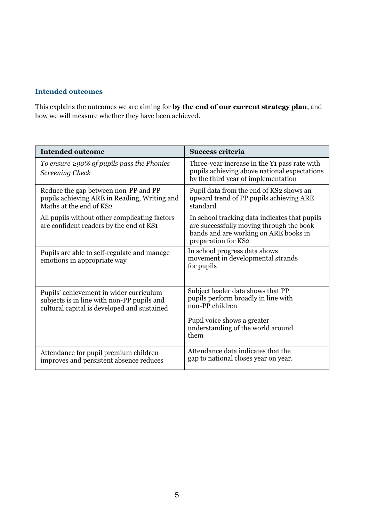#### **Intended outcomes**

This explains the outcomes we are aiming for **by the end of our current strategy plan**, and how we will measure whether they have been achieved.

| <b>Intended outcome</b>                                                                                                              | <b>Success criteria</b>                                                                                                                                   |
|--------------------------------------------------------------------------------------------------------------------------------------|-----------------------------------------------------------------------------------------------------------------------------------------------------------|
| To ensure $\geq$ 90% of pupils pass the Phonics<br><b>Screening Check</b>                                                            | Three-year increase in the Y <sub>1</sub> pass rate with<br>pupils achieving above national expectations<br>by the third year of implementation           |
| Reduce the gap between non-PP and PP<br>pupils achieving ARE in Reading, Writing and<br>Maths at the end of KS2                      | Pupil data from the end of KS2 shows an<br>upward trend of PP pupils achieving ARE<br>standard                                                            |
| All pupils without other complicating factors<br>are confident readers by the end of KS1                                             | In school tracking data indicates that pupils<br>are successfully moving through the book<br>bands and are working on ARE books in<br>preparation for KS2 |
| Pupils are able to self-regulate and manage<br>emotions in appropriate way                                                           | In school progress data shows<br>movement in developmental strands<br>for pupils                                                                          |
| Pupils' achievement in wider curriculum<br>subjects is in line with non-PP pupils and<br>cultural capital is developed and sustained | Subject leader data shows that PP<br>pupils perform broadly in line with<br>non-PP children                                                               |
|                                                                                                                                      | Pupil voice shows a greater<br>understanding of the world around<br>them                                                                                  |
| Attendance for pupil premium children<br>improves and persistent absence reduces                                                     | Attendance data indicates that the<br>gap to national closes year on year.                                                                                |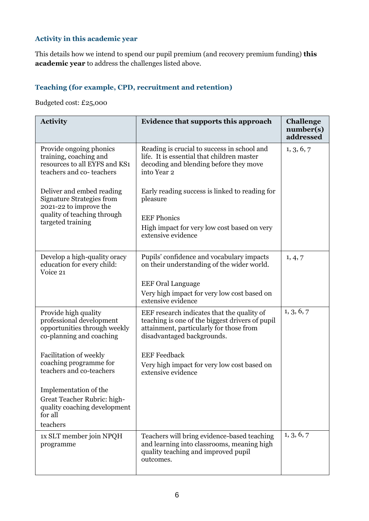## **Activity in this academic year**

This details how we intend to spend our pupil premium (and recovery premium funding) **this academic year** to address the challenges listed above.

## **Teaching (for example, CPD, recruitment and retention)**

Budgeted cost: £25,000

| <b>Activity</b>                                                                                                | Evidence that supports this approach                                                                                                                                   | <b>Challenge</b><br>number(s)<br>addressed |
|----------------------------------------------------------------------------------------------------------------|------------------------------------------------------------------------------------------------------------------------------------------------------------------------|--------------------------------------------|
| Provide ongoing phonics<br>training, coaching and<br>resources to all EYFS and KS1<br>teachers and co-teachers | Reading is crucial to success in school and<br>life. It is essential that children master<br>decoding and blending before they move<br>into Year 2                     | 1, 3, 6, 7                                 |
| Deliver and embed reading<br><b>Signature Strategies from</b><br>2021-22 to improve the                        | Early reading success is linked to reading for<br>pleasure                                                                                                             |                                            |
| quality of teaching through<br>targeted training                                                               | <b>EEF Phonics</b><br>High impact for very low cost based on very<br>extensive evidence                                                                                |                                            |
| Develop a high-quality oracy<br>education for every child:<br>Voice 21                                         | Pupils' confidence and vocabulary impacts<br>on their understanding of the wider world.                                                                                | 1, 4, 7                                    |
|                                                                                                                | <b>EEF Oral Language</b><br>Very high impact for very low cost based on<br>extensive evidence                                                                          |                                            |
| Provide high quality<br>professional development<br>opportunities through weekly<br>co-planning and coaching   | EEF research indicates that the quality of<br>teaching is one of the biggest drivers of pupil<br>attainment, particularly for those from<br>disadvantaged backgrounds. | 1, 3, 6, 7                                 |
| Facilitation of weekly<br>coaching programme for<br>teachers and co-teachers                                   | <b>EEF</b> Feedback<br>Very high impact for very low cost based on<br>extensive evidence                                                                               |                                            |
| Implementation of the<br>Great Teacher Rubric: high-<br>quality coaching development<br>for all<br>teachers    |                                                                                                                                                                        |                                            |
| 1x SLT member join NPQH<br>programme                                                                           | Teachers will bring evidence-based teaching<br>and learning into classrooms, meaning high<br>quality teaching and improved pupil<br>outcomes.                          | 1, 3, 6, 7                                 |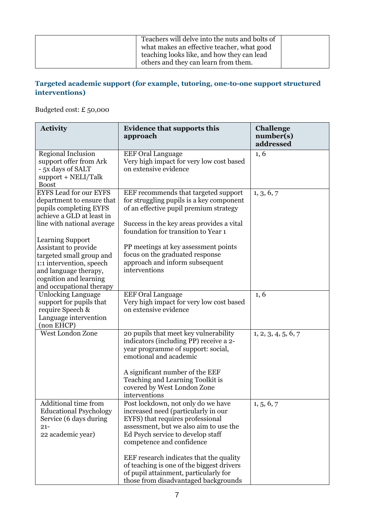| Teachers will delve into the nuts and bolts of<br>what makes an effective teacher, what good<br>teaching looks like, and how they can lead<br>others and they can learn from them. |  |
|------------------------------------------------------------------------------------------------------------------------------------------------------------------------------------|--|
|------------------------------------------------------------------------------------------------------------------------------------------------------------------------------------|--|

## **Targeted academic support (for example, tutoring, one-to-one support structured interventions)**

Budgeted cost: £ 50,000

| <b>Activity</b>                                                                                                                                                            | <b>Evidence that supports this</b><br>approach                                                                                                                                                                                                                                                                                                                                                     | <b>Challenge</b><br>number(s)<br>addressed |
|----------------------------------------------------------------------------------------------------------------------------------------------------------------------------|----------------------------------------------------------------------------------------------------------------------------------------------------------------------------------------------------------------------------------------------------------------------------------------------------------------------------------------------------------------------------------------------------|--------------------------------------------|
| Regional Inclusion<br>support offer from Ark<br>- 5x days of SALT<br>support + NELI/Talk<br><b>Boost</b>                                                                   | <b>EEF Oral Language</b><br>Very high impact for very low cost based<br>on extensive evidence                                                                                                                                                                                                                                                                                                      | 1, 6                                       |
| <b>EYFS Lead for our EYFS</b><br>department to ensure that<br>pupils completing EYFS<br>achieve a GLD at least in<br>line with national average<br><b>Learning Support</b> | EEF recommends that targeted support<br>for struggling pupils is a key component<br>of an effective pupil premium strategy<br>Success in the key areas provides a vital<br>foundation for transition to Year 1                                                                                                                                                                                     | 1, 3, 6, 7                                 |
| Assistant to provide<br>targeted small group and<br>1:1 intervention, speech<br>and language therapy,<br>cognition and learning<br>and occupational therapy                | PP meetings at key assessment points<br>focus on the graduated response<br>approach and inform subsequent<br>interventions                                                                                                                                                                                                                                                                         |                                            |
| <b>Unlocking Language</b><br>support for pupils that<br>require Speech &<br>Language intervention<br>(non EHCP)                                                            | <b>EEF</b> Oral Language<br>Very high impact for very low cost based<br>on extensive evidence                                                                                                                                                                                                                                                                                                      | 1, 6                                       |
| West London Zone                                                                                                                                                           | 20 pupils that meet key vulnerability<br>indicators (including PP) receive a 2-<br>year programme of support: social,<br>emotional and academic<br>A significant number of the EEF<br>Teaching and Learning Toolkit is<br>covered by West London Zone<br>interventions                                                                                                                             | 1, 2, 3, 4, 5, 6, 7                        |
| Additional time from<br><b>Educational Psychology</b><br>Service (6 days during<br>$21 -$<br>22 academic year)                                                             | Post lockdown, not only do we have<br>increased need (particularly in our<br>EYFS) that requires professional<br>assessment, but we also aim to use the<br>Ed Psych service to develop staff<br>competence and confidence<br>EEF research indicates that the quality<br>of teaching is one of the biggest drivers<br>of pupil attainment, particularly for<br>those from disadvantaged backgrounds | 1, 5, 6, 7                                 |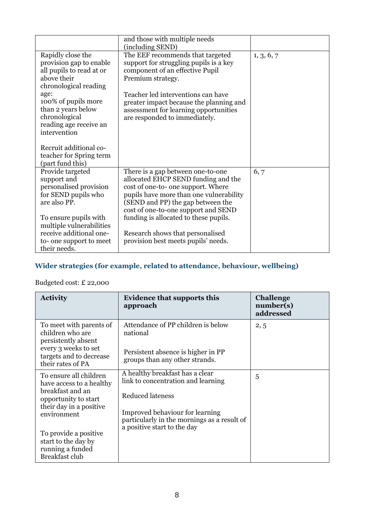|                                                                                                                                                                                                                                  | and those with multiple needs<br>(including SEND)                                                                                                                                                                                                                                             |            |
|----------------------------------------------------------------------------------------------------------------------------------------------------------------------------------------------------------------------------------|-----------------------------------------------------------------------------------------------------------------------------------------------------------------------------------------------------------------------------------------------------------------------------------------------|------------|
| Rapidly close the<br>provision gap to enable<br>all pupils to read at or<br>above their<br>chronological reading<br>age:<br>100% of pupils more<br>than 2 years below<br>chronological<br>reading age receive an<br>intervention | The EEF recommends that targeted<br>support for struggling pupils is a key<br>component of an effective Pupil<br>Premium strategy.<br>Teacher led interventions can have<br>greater impact because the planning and<br>assessment for learning opportunities<br>are responded to immediately. | 1, 3, 6, 7 |
| Recruit additional co-<br>teacher for Spring term<br>(part fund this)                                                                                                                                                            |                                                                                                                                                                                                                                                                                               |            |
| Provide targeted<br>support and<br>personalised provision<br>for SEND pupils who<br>are also PP.<br>To ensure pupils with                                                                                                        | There is a gap between one-to-one<br>allocated EHCP SEND funding and the<br>cost of one-to- one support. Where<br>pupils have more than one vulnerability<br>(SEND and PP) the gap between the<br>cost of one-to-one support and SEND<br>funding is allocated to these pupils.                | 6, 7       |
| multiple vulnerabilities<br>receive additional one-<br>to-one support to meet<br>their needs.                                                                                                                                    | Research shows that personalised<br>provision best meets pupils' needs.                                                                                                                                                                                                                       |            |

## **Wider strategies (for example, related to attendance, behaviour, wellbeing)**

## Budgeted cost: £ 22,000

| <b>Activity</b>                                                                                                                            | <b>Evidence that supports this</b><br>approach                                                                                                                                                                    | <b>Challenge</b><br>number(s)<br>addressed |
|--------------------------------------------------------------------------------------------------------------------------------------------|-------------------------------------------------------------------------------------------------------------------------------------------------------------------------------------------------------------------|--------------------------------------------|
| To meet with parents of<br>children who are<br>persistently absent<br>every 3 weeks to set<br>targets and to decrease<br>their rates of PA | Attendance of PP children is below<br>national<br>Persistent absence is higher in PP<br>groups than any other strands.                                                                                            | 2, 5                                       |
| To ensure all children<br>have access to a healthy<br>breakfast and an<br>opportunity to start<br>their day in a positive<br>environment   | A healthy breakfast has a clear<br>link to concentration and learning<br><b>Reduced lateness</b><br>Improved behaviour for learning<br>particularly in the mornings as a result of<br>a positive start to the day | 5                                          |
| To provide a positive<br>start to the day by<br>running a funded<br><b>Breakfast club</b>                                                  |                                                                                                                                                                                                                   |                                            |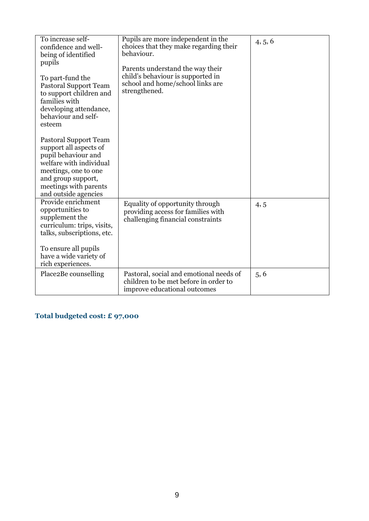| To increase self-<br>confidence and well-<br>being of identified<br>pupils<br>To part-fund the<br><b>Pastoral Support Team</b><br>to support children and<br>families with<br>developing attendance,<br>behaviour and self-<br>esteem<br><b>Pastoral Support Team</b><br>support all aspects of<br>pupil behaviour and<br>welfare with individual<br>meetings, one to one<br>and group support,<br>meetings with parents<br>and outside agencies | Pupils are more independent in the<br>choices that they make regarding their<br>behaviour.<br>Parents understand the way their<br>child's behaviour is supported in<br>school and home/school links are<br>strengthened. | 4, 5, 6 |
|--------------------------------------------------------------------------------------------------------------------------------------------------------------------------------------------------------------------------------------------------------------------------------------------------------------------------------------------------------------------------------------------------------------------------------------------------|--------------------------------------------------------------------------------------------------------------------------------------------------------------------------------------------------------------------------|---------|
| Provide enrichment<br>opportunities to<br>supplement the<br>curriculum: trips, visits,<br>talks, subscriptions, etc.<br>To ensure all pupils<br>have a wide variety of<br>rich experiences.                                                                                                                                                                                                                                                      | Equality of opportunity through<br>providing access for families with<br>challenging financial constraints                                                                                                               | 4, 5    |
| Place2Be counselling                                                                                                                                                                                                                                                                                                                                                                                                                             | Pastoral, social and emotional needs of<br>children to be met before in order to<br>improve educational outcomes                                                                                                         | 5, 6    |

## **Total budgeted cost: £ 97,000**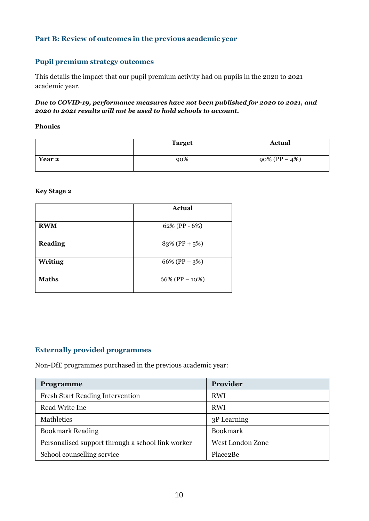## **Part B: Review of outcomes in the previous academic year**

#### **Pupil premium strategy outcomes**

This details the impact that our pupil premium activity had on pupils in the 2020 to 2021 academic year.

#### *Due to COVID-19, performance measures have not been published for 2020 to 2021, and 2020 to 2021 results will not be used to hold schools to account.*

**Phonics**

|        | <b>Target</b> | <b>Actual</b>     |
|--------|---------------|-------------------|
| Year 2 | 90%           | $90\% (PP - 4\%)$ |

**Key Stage 2**

|                | <b>Actual</b>     |
|----------------|-------------------|
| <b>RWM</b>     | 62% (PP - 6%)     |
| <b>Reading</b> | $83\%$ (PP + 5%)  |
| <b>Writing</b> | 66% (PP $-3\%$ )  |
| <b>Maths</b>   | 66% (PP $-10\%$ ) |

#### **Externally provided programmes**

Non-DfE programmes purchased in the previous academic year:

| Programme                                         | Provider         |
|---------------------------------------------------|------------------|
| <b>Fresh Start Reading Intervention</b>           | <b>RWI</b>       |
| Read Write Inc                                    | <b>RWI</b>       |
| Mathletics                                        | 3P Learning      |
| <b>Bookmark Reading</b>                           | <b>Bookmark</b>  |
| Personalised support through a school link worker | West London Zone |
| School counselling service                        | Place2Be         |